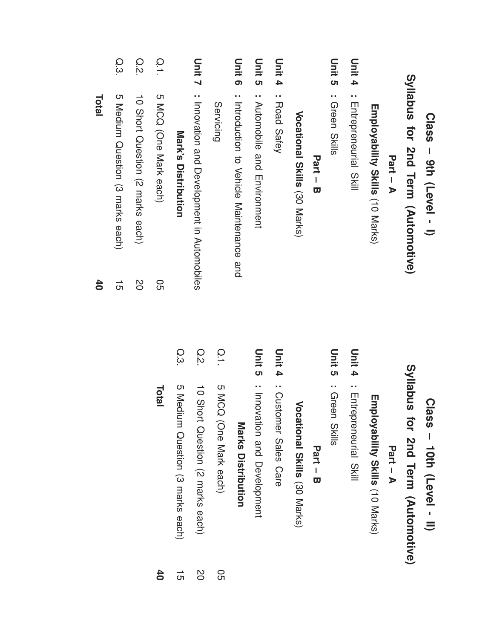|               | Class - 9th (Level - I)                     |                 |  |
|---------------|---------------------------------------------|-----------------|--|
|               | Syllabus for 2nd Term (Automotive)          |                 |  |
|               | Part - A                                    |                 |  |
|               | <b>Francy ability Skills (10 Marks)</b>     |                 |  |
| Unit 4        | : Enteprenential<br>SKIII                   | $\overline{5}$  |  |
| <b>Unit 5</b> | : Green Skills                              | $\mathbf{u}$    |  |
|               | Part - B                                    |                 |  |
|               | Vocational Skills (30 Marks)                |                 |  |
| Unit 4        | : Road Safey                                | Ξ               |  |
| <b>Unit 5</b> | : Actoractile and maxiscription             | Ξ               |  |
| Unit 6        | : Introduction to Vehicle Maintenance and   |                 |  |
|               | <b>Servicing</b>                            | $\overline{O}$  |  |
| Unit 7        | : Innovation and Development in Automobiles | O.s             |  |
|               | Mark's Distribution                         | $\Omega$        |  |
| $\frac{1}{2}$ | 5 MCQ (One Mark each)                       | 95              |  |
| Q.2           | 10 Short Question (2 marks each)            | 2O              |  |
| Q.3           | 5 Medium Question (3 marks each)            | $\vec{5}$       |  |
|               | <b>Total</b>                                | $\overline{40}$ |  |

| snqelly     |              |
|-------------|--------------|
| for         | <b>Class</b> |
|             | 10th         |
| 2nd Term    |              |
| Automotive) | (Level       |

Part<br>F –  $\blacktriangleright$ 

Employability Skills (10 Marks)

Unit 4 : Entrepreneurial Skill

Unit ပာ : Green Skills

Part –  $\boldsymbol{\varpi}$ 

Vocational Skills (30 Marks)

Unit 4 : Customer Sales Care

Unit ပာ : Innovation and Development

## **Marks Distribution** Distribution

| č                                |                       |
|----------------------------------|-----------------------|
| 10 Short Orestion (2 Harks each) | 5 MCQ (One Mark each) |
|                                  |                       |

|              | ċ                                |
|--------------|----------------------------------|
| <b>Total</b> | U Medium Question (3 marks each) |
|              |                                  |
|              |                                  |
|              |                                  |
|              | $\overline{\sigma}$              |

Total